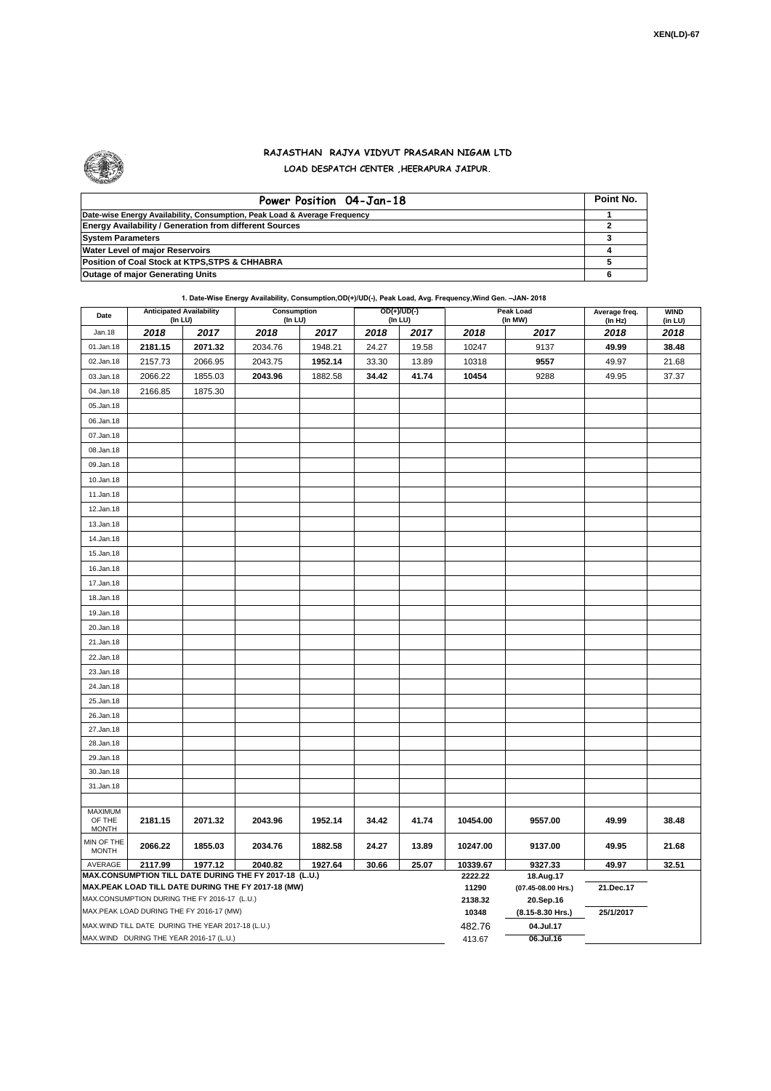

## **RAJASTHAN RAJYA VIDYUT PRASARAN NIGAM LTD LOAD DESPATCH CENTER ,HEERAPURA JAIPUR.**

| Power Position 04-Jan-18                                                  | Point No. |
|---------------------------------------------------------------------------|-----------|
| Date-wise Energy Availability, Consumption, Peak Load & Average Frequency |           |
| <b>Energy Availability / Generation from different Sources</b>            |           |
| <b>System Parameters</b>                                                  |           |
| Water Level of major Reservoirs                                           |           |
| Position of Coal Stock at KTPS, STPS & CHHABRA                            |           |
| <b>Outage of major Generating Units</b>                                   |           |

**1. Date-Wise Energy Availability, Consumption,OD(+)/UD(-), Peak Load, Avg. Frequency,Wind Gen. –JAN- 2018**

| Date                                                                                                                                                                                                                                                                                                                       | <b>Anticipated Availability</b><br>$($ In LU $)$ |         | Consumption<br>(In LU) |         |       | $OD(+)/UD(-)$<br>(In LU) |                  | Peak Load<br>(In MW)            | Average freq.<br>(ln Hz) | <b>WIND</b><br>(in LU) |
|----------------------------------------------------------------------------------------------------------------------------------------------------------------------------------------------------------------------------------------------------------------------------------------------------------------------------|--------------------------------------------------|---------|------------------------|---------|-------|--------------------------|------------------|---------------------------------|--------------------------|------------------------|
| Jan.18                                                                                                                                                                                                                                                                                                                     | 2018                                             | 2017    | 2018                   | 2017    | 2018  | 2017                     | 2018             | 2017                            | 2018                     | 2018                   |
| 01.Jan.18                                                                                                                                                                                                                                                                                                                  | 2181.15                                          | 2071.32 | 2034.76                | 1948.21 | 24.27 | 19.58                    | 10247            | 9137                            | 49.99                    | 38.48                  |
| 02.Jan.18                                                                                                                                                                                                                                                                                                                  | 2157.73                                          | 2066.95 | 2043.75                | 1952.14 | 33.30 | 13.89                    | 10318            | 9557                            | 49.97                    | 21.68                  |
| 03.Jan.18                                                                                                                                                                                                                                                                                                                  | 2066.22                                          | 1855.03 | 2043.96                | 1882.58 | 34.42 | 41.74                    | 10454            | 9288                            | 49.95                    | 37.37                  |
| 04.Jan.18                                                                                                                                                                                                                                                                                                                  | 2166.85                                          | 1875.30 |                        |         |       |                          |                  |                                 |                          |                        |
| 05.Jan.18                                                                                                                                                                                                                                                                                                                  |                                                  |         |                        |         |       |                          |                  |                                 |                          |                        |
| 06.Jan.18                                                                                                                                                                                                                                                                                                                  |                                                  |         |                        |         |       |                          |                  |                                 |                          |                        |
| 07.Jan.18                                                                                                                                                                                                                                                                                                                  |                                                  |         |                        |         |       |                          |                  |                                 |                          |                        |
| 08.Jan.18                                                                                                                                                                                                                                                                                                                  |                                                  |         |                        |         |       |                          |                  |                                 |                          |                        |
| 09.Jan.18                                                                                                                                                                                                                                                                                                                  |                                                  |         |                        |         |       |                          |                  |                                 |                          |                        |
| 10.Jan.18                                                                                                                                                                                                                                                                                                                  |                                                  |         |                        |         |       |                          |                  |                                 |                          |                        |
| 11.Jan.18                                                                                                                                                                                                                                                                                                                  |                                                  |         |                        |         |       |                          |                  |                                 |                          |                        |
| 12.Jan.18                                                                                                                                                                                                                                                                                                                  |                                                  |         |                        |         |       |                          |                  |                                 |                          |                        |
| 13.Jan.18                                                                                                                                                                                                                                                                                                                  |                                                  |         |                        |         |       |                          |                  |                                 |                          |                        |
| 14.Jan.18                                                                                                                                                                                                                                                                                                                  |                                                  |         |                        |         |       |                          |                  |                                 |                          |                        |
| 15.Jan.18                                                                                                                                                                                                                                                                                                                  |                                                  |         |                        |         |       |                          |                  |                                 |                          |                        |
| 16.Jan.18                                                                                                                                                                                                                                                                                                                  |                                                  |         |                        |         |       |                          |                  |                                 |                          |                        |
| 17.Jan.18                                                                                                                                                                                                                                                                                                                  |                                                  |         |                        |         |       |                          |                  |                                 |                          |                        |
| 18.Jan.18                                                                                                                                                                                                                                                                                                                  |                                                  |         |                        |         |       |                          |                  |                                 |                          |                        |
| 19.Jan.18                                                                                                                                                                                                                                                                                                                  |                                                  |         |                        |         |       |                          |                  |                                 |                          |                        |
| 20.Jan.18                                                                                                                                                                                                                                                                                                                  |                                                  |         |                        |         |       |                          |                  |                                 |                          |                        |
| 21.Jan.18                                                                                                                                                                                                                                                                                                                  |                                                  |         |                        |         |       |                          |                  |                                 |                          |                        |
| 22.Jan.18                                                                                                                                                                                                                                                                                                                  |                                                  |         |                        |         |       |                          |                  |                                 |                          |                        |
| 23.Jan.18                                                                                                                                                                                                                                                                                                                  |                                                  |         |                        |         |       |                          |                  |                                 |                          |                        |
| 24.Jan.18                                                                                                                                                                                                                                                                                                                  |                                                  |         |                        |         |       |                          |                  |                                 |                          |                        |
| 25.Jan.18                                                                                                                                                                                                                                                                                                                  |                                                  |         |                        |         |       |                          |                  |                                 |                          |                        |
| 26.Jan.18                                                                                                                                                                                                                                                                                                                  |                                                  |         |                        |         |       |                          |                  |                                 |                          |                        |
| 27.Jan.18                                                                                                                                                                                                                                                                                                                  |                                                  |         |                        |         |       |                          |                  |                                 |                          |                        |
| 28.Jan.18                                                                                                                                                                                                                                                                                                                  |                                                  |         |                        |         |       |                          |                  |                                 |                          |                        |
| 29.Jan.18                                                                                                                                                                                                                                                                                                                  |                                                  |         |                        |         |       |                          |                  |                                 |                          |                        |
| 30.Jan.18                                                                                                                                                                                                                                                                                                                  |                                                  |         |                        |         |       |                          |                  |                                 |                          |                        |
| 31.Jan.18                                                                                                                                                                                                                                                                                                                  |                                                  |         |                        |         |       |                          |                  |                                 |                          |                        |
|                                                                                                                                                                                                                                                                                                                            |                                                  |         |                        |         |       |                          |                  |                                 |                          |                        |
| OF THE<br><b>MONTH</b>                                                                                                                                                                                                                                                                                                     | 2181.15                                          | 2071.32 | 2043.96                | 1952.14 | 34.42 | 41.74                    | 10454.00         | 9557.00                         | 49.99                    | 38.48                  |
| MIN OF THE<br><b>MONTH</b>                                                                                                                                                                                                                                                                                                 | 2066.22                                          | 1855.03 | 2034.76                | 1882.58 | 24.27 | 13.89                    | 10247.00         | 9137.00                         | 49.95                    | 21.68                  |
| AVERAGE                                                                                                                                                                                                                                                                                                                    | 2117.99                                          | 1977.12 | 2040.82                | 1927.64 | 30.66 | 25.07                    | 10339.67         | 9327.33                         | 49.97                    | 32.51                  |
|                                                                                                                                                                                                                                                                                                                            |                                                  |         |                        |         |       |                          | 2222.22<br>11290 | 18.Aug.17<br>(07.45-08.00 Hrs.) | 21.Dec.17                |                        |
|                                                                                                                                                                                                                                                                                                                            |                                                  |         |                        |         |       |                          | 2138.32          | 20.Sep.16                       |                          |                        |
|                                                                                                                                                                                                                                                                                                                            |                                                  |         |                        |         |       |                          | 10348            | (8.15-8.30 Hrs.)                | 25/1/2017                |                        |
| <b>MAXIMUM</b><br>MAX.CONSUMPTION TILL DATE DURING THE FY 2017-18 (L.U.)<br>MAX.PEAK LOAD TILL DATE DURING THE FY 2017-18 (MW)<br>MAX.CONSUMPTION DURING THE FY 2016-17 (L.U.)<br>MAX.PEAK LOAD DURING THE FY 2016-17 (MW)<br>MAX.WIND TILL DATE DURING THE YEAR 2017-18 (L.U.)<br>MAX.WIND DURING THE YEAR 2016-17 (L.U.) |                                                  |         |                        |         |       | 482.76                   | 04.Jul.17        |                                 |                          |                        |
|                                                                                                                                                                                                                                                                                                                            |                                                  |         |                        |         |       |                          | 413.67           | 06.Jul.16                       |                          |                        |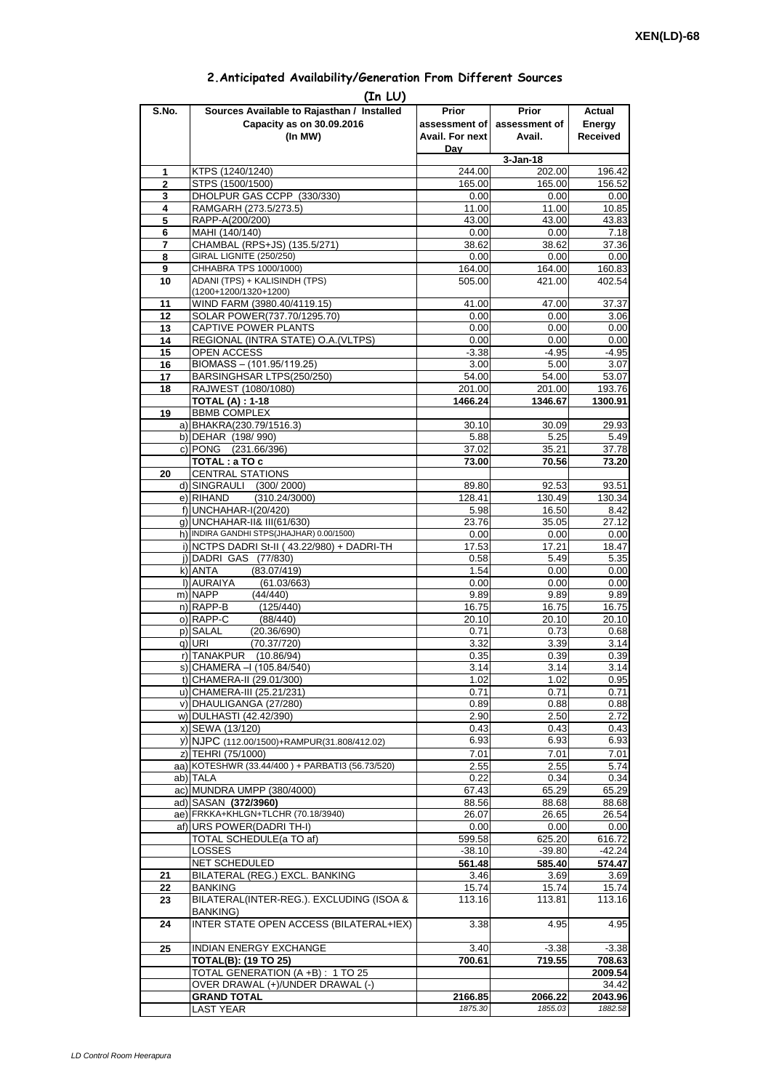| 2. Anticipated Availability/Generation From Different Sources |  |  |  |  |  |
|---------------------------------------------------------------|--|--|--|--|--|
|---------------------------------------------------------------|--|--|--|--|--|

| S.No.               | (In LU)<br>Sources Available to Rajasthan / Installed           | Prior              | Prior              | Actual             |
|---------------------|-----------------------------------------------------------------|--------------------|--------------------|--------------------|
|                     | Capacity as on 30.09.2016                                       | assessment of      | assessment of      | Energy             |
|                     | (In MW)                                                         | Avail. For next    | Avail.             | <b>Received</b>    |
|                     |                                                                 | Dav                |                    |                    |
|                     |                                                                 |                    | $3 - Jan-18$       |                    |
| 1<br>$\overline{2}$ | KTPS (1240/1240)<br>STPS (1500/1500)                            | 244.00<br>165.00   | 202.00<br>165.00   | 196.42<br>156.52   |
| 3                   | DHOLPUR GAS CCPP (330/330)                                      | 0.00               | 0.00               | 0.00               |
| 4                   | RAMGARH (273.5/273.5)                                           | 11.00              | 11.00              | 10.85              |
| 5                   | RAPP-A(200/200)                                                 | 43.00              | 43.00              | 43.83              |
| 6                   | MAHI (140/140)                                                  | 0.00               | 0.00               | 7.18               |
| 7                   | CHAMBAL (RPS+JS) (135.5/271)                                    | 38.62              | 38.62              | 37.36              |
| 8                   | <b>GIRAL LIGNITE (250/250)</b>                                  | 0.00               | 0.00               | 0.00               |
| 9                   | CHHABRA TPS 1000/1000)                                          | 164.00             | 164.00             | 160.83             |
| 10                  | ADANI (TPS) + KALISINDH (TPS)<br>(1200+1200/1320+1200)          | 505.00             | 421.00             | 402.54             |
| 11                  | WIND FARM (3980.40/4119.15)                                     | 41.00              | 47.00              | 37.37              |
| 12                  | SOLAR POWER(737.70/1295.70)                                     | 0.00               | 0.00               | 3.06               |
| 13                  | CAPTIVE POWER PLANTS                                            | 0.00               | 0.00               | 0.00               |
| 14                  | REGIONAL (INTRA STATE) O.A. (VLTPS)                             | 0.00               | 0.00               | 0.00               |
| 15                  | OPEN ACCESS                                                     | $-3.38$            | $-4.95$            | $-4.95$            |
| 16                  | BIOMASS - (101.95/119.25)                                       | 3.00               | 5.00               | 3.07               |
| 17                  | BARSINGHSAR LTPS(250/250)                                       | 54.00              | 54.00              | 53.07              |
| 18                  | RAJWEST (1080/1080)<br><b>TOTAL (A): 1-18</b>                   | 201.00<br>1466.24  | 201.00<br>1346.67  | 193.76<br>1300.91  |
| 19                  | <b>BBMB COMPLEX</b>                                             |                    |                    |                    |
|                     | a) BHAKRA(230.79/1516.3)                                        | 30.10              | 30.09              | 29.93              |
|                     | b) DEHAR (198/990)                                              | 5.88               | 5.25               | 5.49               |
|                     | c) PONG (231.66/396)                                            | 37.02              | 35.21              | 37.78              |
|                     | TOTAL : a TO c                                                  | 73.00              | 70.56              | 73.20              |
| 20                  | <b>CENTRAL STATIONS</b>                                         |                    |                    |                    |
|                     | d) SINGRAULI (300/2000)                                         | 89.80              | 92.53              | 93.51              |
|                     | e) RIHAND<br>(310.24/3000)<br>f) UNCHAHAR-I(20/420)             | 128.41<br>5.98     | 130.49<br>16.50    | 130.34<br>8.42     |
|                     | q) UNCHAHAR-II& III(61/630)                                     | 23.76              | 35.05              | 27.12              |
|                     | h) INDIRA GANDHI STPS(JHAJHAR) 0.00/1500)                       | 0.00               | 0.00               | 0.00               |
|                     | i) NCTPS DADRI St-II (43.22/980) + DADRI-TH                     | 17.53              | 17.21              | 18.47              |
|                     | j) DADRI GAS (77/830)                                           | 0.58               | 5.49               | 5.35               |
|                     | k) ANTA<br>(83.07/419)                                          | 1.54               | 0.00               | 0.00               |
|                     | I) AURAIYA<br>(61.03/663)                                       | 0.00               | 0.00               | 0.00               |
|                     | m) NAPP<br>(44/440)                                             | 9.89               | 9.89               | 9.89               |
|                     | n) RAPP-B<br>(125/440)                                          | 16.75              | 16.75              | 16.75              |
|                     | o) RAPP-C<br>(88/440)<br>p) SALAL<br>(20.36/690)                | 20.10<br>0.71      | 20.10<br>0.73      | 20.10<br>0.68      |
|                     | (70.37/720)<br>q) URI                                           | 3.32               | 3.39               | 3.14               |
|                     | r) TANAKPUR<br>(10.86/94)                                       | 0.35               | 0.39               | 0.39               |
|                     | s) CHAMERA –I (105.84/540)                                      | 3.14               | 3.14               | 3.14               |
|                     | t) CHAMERA-II (29.01/300)                                       | 1.02               | 1.02               | 0.95               |
|                     | u) CHAMERA-III (25.21/231)                                      | 0.71               | 0.71               | 0.71               |
|                     | v) DHAULIGANGA (27/280)                                         | 0.89               | 0.88               | 0.88               |
|                     | w) DULHASTI (42.42/390)                                         | 2.90               | 2.50               | 2.72               |
|                     | x) SEWA (13/120)<br>y) NJPC (112.00/1500)+RAMPUR(31.808/412.02) | 0.43<br>6.93       | 0.43<br>6.93       | 0.43<br>6.93       |
|                     | z) TEHRI (75/1000)                                              | 7.01               | 7.01               | 7.01               |
|                     | aa) KOTESHWR (33.44/400) + PARBATI3 (56.73/520)                 | 2.55               | 2.55               | 5.74               |
|                     | ab) TALA                                                        | 0.22               | 0.34               | 0.34               |
|                     | ac) MUNDRA UMPP (380/4000)                                      | 67.43              | 65.29              | 65.29              |
|                     | ad) SASAN (372/3960)                                            | 88.56              | 88.68              | 88.68              |
|                     | ae) FRKKA+KHLGN+TLCHR (70.18/3940)                              | 26.07              | 26.65              | 26.54              |
|                     | af) URS POWER(DADRI TH-I)                                       | 0.00               | 0.00               | 0.00               |
|                     | TOTAL SCHEDULE(a TO af)                                         | 599.58             | 625.20             | 616.72             |
|                     | <b>LOSSES</b><br>NET SCHEDULED                                  | $-38.10$<br>561.48 | $-39.80$<br>585.40 | $-42.24$<br>574.47 |
| 21                  | BILATERAL (REG.) EXCL. BANKING                                  | 3.46               | 3.69               | 3.69               |
| 22                  | <b>BANKING</b>                                                  | 15.74              | 15.74              | 15.74              |
| 23                  | BILATERAL(INTER-REG.). EXCLUDING (ISOA &                        | 113.16             | 113.81             | 113.16             |
| 24                  | <b>BANKING)</b><br>INTER STATE OPEN ACCESS (BILATERAL+IEX)      | 3.38               | 4.95               | 4.95               |
|                     |                                                                 |                    |                    |                    |
| 25                  | <b>INDIAN ENERGY EXCHANGE</b><br><b>TOTAL(B): (19 TO 25)</b>    | 3.40<br>700.61     | $-3.38$<br>719.55  | $-3.38$<br>708.63  |
|                     | TOTAL GENERATION (A +B) : 1 TO 25                               |                    |                    | 2009.54            |
|                     | OVER DRAWAL (+)/UNDER DRAWAL (-)                                |                    |                    | 34.42              |
|                     | <b>GRAND TOTAL</b>                                              | 2166.85            | 2066.22            | 2043.96            |
|                     |                                                                 | 1875.30            | 1855.03            | 1882.58            |